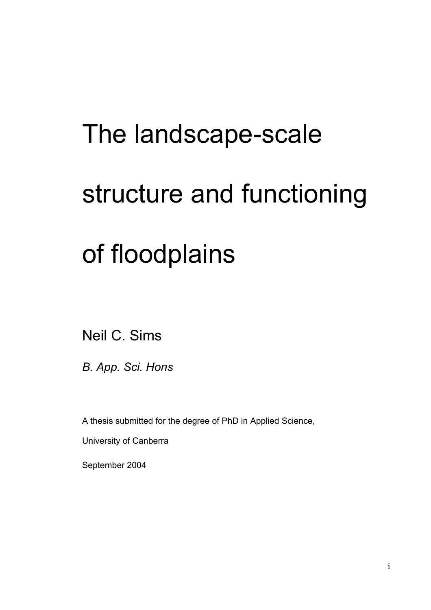# The landscape-scale structure and functioning of floodplains

Neil C. Sims

*B. App. Sci. Hons*

A thesis submitted for the degree of PhD in Applied Science,

University of Canberra

September 2004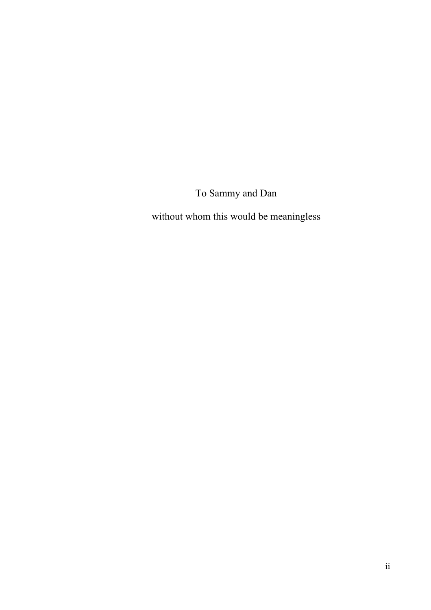To Sammy and Dan

without whom this would be meaningless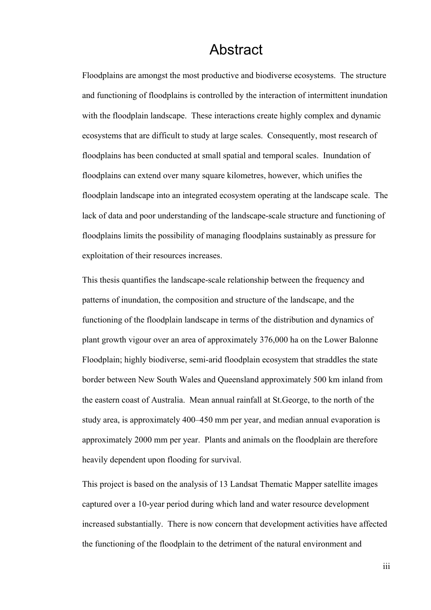### Abstract

Floodplains are amongst the most productive and biodiverse ecosystems. The structure and functioning of floodplains is controlled by the interaction of intermittent inundation with the floodplain landscape. These interactions create highly complex and dynamic ecosystems that are difficult to study at large scales. Consequently, most research of floodplains has been conducted at small spatial and temporal scales. Inundation of floodplains can extend over many square kilometres, however, which unifies the floodplain landscape into an integrated ecosystem operating at the landscape scale. The lack of data and poor understanding of the landscape-scale structure and functioning of floodplains limits the possibility of managing floodplains sustainably as pressure for exploitation of their resources increases.

This thesis quantifies the landscape-scale relationship between the frequency and patterns of inundation, the composition and structure of the landscape, and the functioning of the floodplain landscape in terms of the distribution and dynamics of plant growth vigour over an area of approximately 376,000 ha on the Lower Balonne Floodplain; highly biodiverse, semi-arid floodplain ecosystem that straddles the state border between New South Wales and Queensland approximately 500 km inland from the eastern coast of Australia. Mean annual rainfall at St.George, to the north of the study area, is approximately 400–450 mm per year, and median annual evaporation is approximately 2000 mm per year. Plants and animals on the floodplain are therefore heavily dependent upon flooding for survival.

This project is based on the analysis of 13 Landsat Thematic Mapper satellite images captured over a 10-year period during which land and water resource development increased substantially. There is now concern that development activities have affected the functioning of the floodplain to the detriment of the natural environment and

iii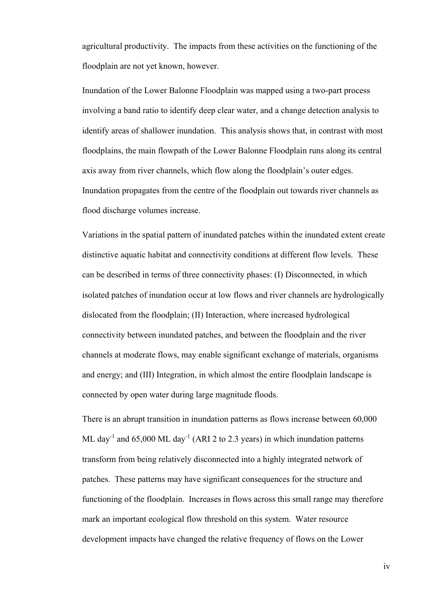agricultural productivity. The impacts from these activities on the functioning of the floodplain are not yet known, however.

Inundation of the Lower Balonne Floodplain was mapped using a two-part process involving a band ratio to identify deep clear water, and a change detection analysis to identify areas of shallower inundation. This analysis shows that, in contrast with most floodplains, the main flowpath of the Lower Balonne Floodplain runs along its central axis away from river channels, which flow along the floodplain's outer edges. Inundation propagates from the centre of the floodplain out towards river channels as flood discharge volumes increase.

Variations in the spatial pattern of inundated patches within the inundated extent create distinctive aquatic habitat and connectivity conditions at different flow levels. These can be described in terms of three connectivity phases: (I) Disconnected, in which isolated patches of inundation occur at low flows and river channels are hydrologically dislocated from the floodplain; (II) Interaction, where increased hydrological connectivity between inundated patches, and between the floodplain and the river channels at moderate flows, may enable significant exchange of materials, organisms and energy; and (III) Integration, in which almost the entire floodplain landscape is connected by open water during large magnitude floods.

There is an abrupt transition in inundation patterns as flows increase between 60,000 ML day<sup>-1</sup> and 65,000 ML day<sup>-1</sup> (ARI 2 to 2.3 years) in which inundation patterns transform from being relatively disconnected into a highly integrated network of patches. These patterns may have significant consequences for the structure and functioning of the floodplain. Increases in flows across this small range may therefore mark an important ecological flow threshold on this system. Water resource development impacts have changed the relative frequency of flows on the Lower

iv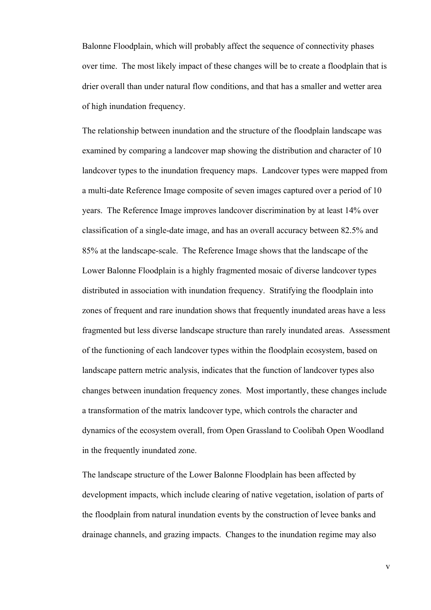Balonne Floodplain, which will probably affect the sequence of connectivity phases over time. The most likely impact of these changes will be to create a floodplain that is drier overall than under natural flow conditions, and that has a smaller and wetter area of high inundation frequency.

The relationship between inundation and the structure of the floodplain landscape was examined by comparing a landcover map showing the distribution and character of 10 landcover types to the inundation frequency maps. Landcover types were mapped from a multi-date Reference Image composite of seven images captured over a period of 10 years. The Reference Image improves landcover discrimination by at least 14% over classification of a single-date image, and has an overall accuracy between 82.5% and 85% at the landscape-scale. The Reference Image shows that the landscape of the Lower Balonne Floodplain is a highly fragmented mosaic of diverse landcover types distributed in association with inundation frequency. Stratifying the floodplain into zones of frequent and rare inundation shows that frequently inundated areas have a less fragmented but less diverse landscape structure than rarely inundated areas. Assessment of the functioning of each landcover types within the floodplain ecosystem, based on landscape pattern metric analysis, indicates that the function of landcover types also changes between inundation frequency zones. Most importantly, these changes include a transformation of the matrix landcover type, which controls the character and dynamics of the ecosystem overall, from Open Grassland to Coolibah Open Woodland in the frequently inundated zone.

The landscape structure of the Lower Balonne Floodplain has been affected by development impacts, which include clearing of native vegetation, isolation of parts of the floodplain from natural inundation events by the construction of levee banks and drainage channels, and grazing impacts. Changes to the inundation regime may also

v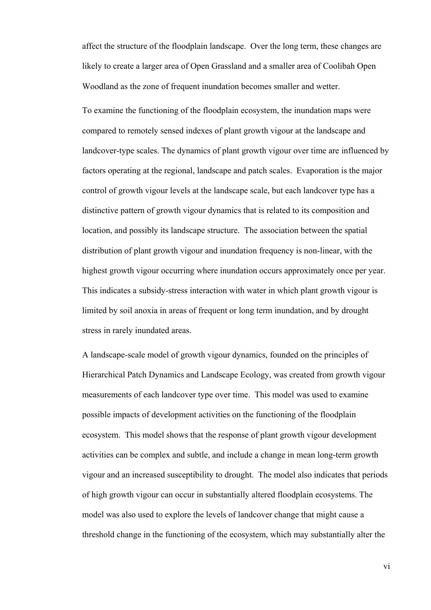affect the structure of the floodplain landscape. Over the long term, these changes are likely to create a larger area of Open Grassland and a smaller area of Coolibah Open Woodland as the zone of frequent inundation becomes smaller and wetter.

To examine the functioning of the floodplain ecosystem, the inundation maps were compared to remotely sensed indexes of plant growth vigour at the landscape and landcover-type scales. The dynamics of plant growth vigour over time are influenced by factors operating at the regional, landscape and patch scales. Evaporation is the major control of growth vigour levels at the landscape scale, but each landcover type has a distinctive pattern of growth vigour dynamics that is related to its composition and location, and possibly its landscape structure. The association between the spatial distribution of plant growth vigour and inundation frequency is non-linear, with the highest growth vigour occurring where inundation occurs approximately once per year. This indicates a subsidy-stress interaction with water in which plant growth vigour is limited by soil anoxia in areas of frequent or long term inundation, and by drought stress in rarely inundated areas.

A landscape-scale model of growth vigour dynamics, founded on the principles of Hierarchical Patch Dynamics and Landscape Ecology, was created from growth vigour measurements of each landcover type over time. This model was used to examine possible impacts of development activities on the functioning of the floodplain ecosystem. This model shows that the response of plant growth vigour development activities can be complex and subtle, and include a change in mean long-term growth vigour and an increased susceptibility to drought. The model also indicates that periods of high growth vigour can occur in substantially altered floodplain ecosystems. The model was also used to explore the levels of landcover change that might cause a threshold change in the functioning of the ecosystem, which may substantially alter the

vi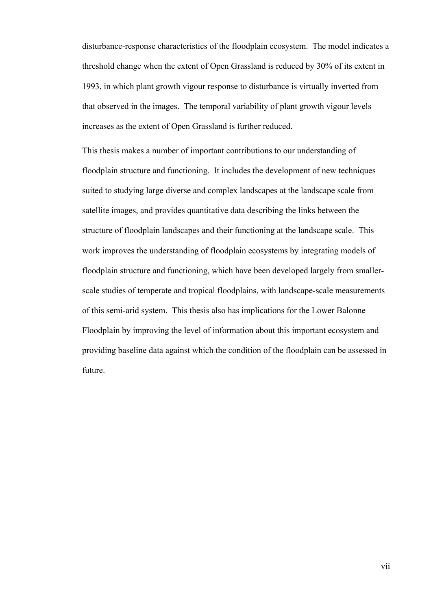disturbance-response characteristics of the floodplain ecosystem. The model indicates a threshold change when the extent of Open Grassland is reduced by 30% of its extent in 1993, in which plant growth vigour response to disturbance is virtually inverted from that observed in the images. The temporal variability of plant growth vigour levels increases as the extent of Open Grassland is further reduced.

This thesis makes a number of important contributions to our understanding of floodplain structure and functioning. It includes the development of new techniques suited to studying large diverse and complex landscapes at the landscape scale from satellite images, and provides quantitative data describing the links between the structure of floodplain landscapes and their functioning at the landscape scale. This work improves the understanding of floodplain ecosystems by integrating models of floodplain structure and functioning, which have been developed largely from smallerscale studies of temperate and tropical floodplains, with landscape-scale measurements of this semi-arid system. This thesis also has implications for the Lower Balonne Floodplain by improving the level of information about this important ecosystem and providing baseline data against which the condition of the floodplain can be assessed in future.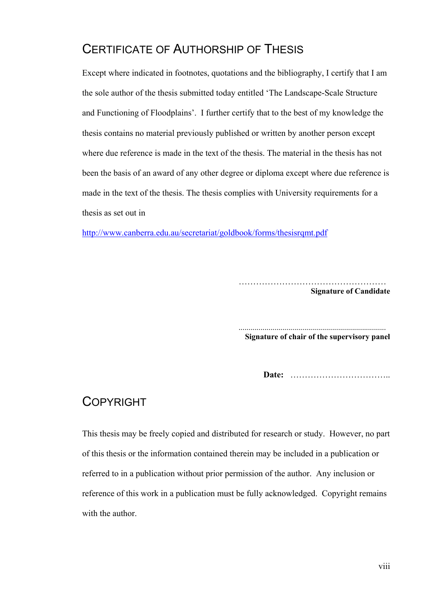## CERTIFICATE OF AUTHORSHIP OF THESIS

Except where indicated in footnotes, quotations and the bibliography, I certify that I am the sole author of the thesis submitted today entitled 'The Landscape-Scale Structure and Functioning of Floodplains'. I further certify that to the best of my knowledge the thesis contains no material previously published or written by another person except where due reference is made in the text of the thesis. The material in the thesis has not been the basis of an award of any other degree or diploma except where due reference is made in the text of the thesis. The thesis complies with University requirements for a thesis as set out in

<http://www.canberra.edu.au/secretariat/goldbook/forms/thesisrqmt.pdf>

 ……………………………………………  **Signature of Candidate** 

.......................................................................... **Signature of chair of the supervisory panel**

**Date:** ……………………………..

#### COPYRIGHT

This thesis may be freely copied and distributed for research or study. However, no part of this thesis or the information contained therein may be included in a publication or referred to in a publication without prior permission of the author. Any inclusion or reference of this work in a publication must be fully acknowledged. Copyright remains with the author.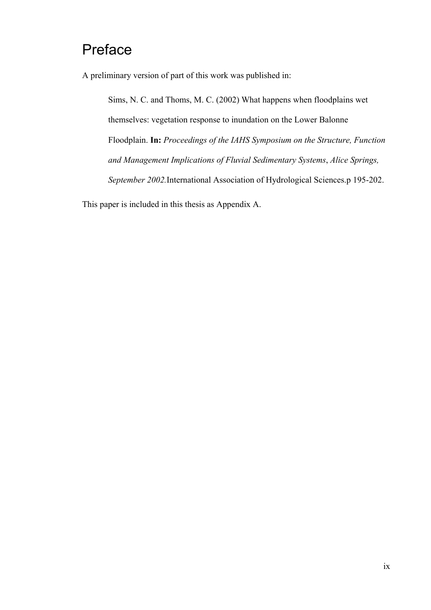# Preface

A preliminary version of part of this work was published in:

Sims, N. C. and Thoms, M. C. (2002) What happens when floodplains wet themselves: vegetation response to inundation on the Lower Balonne Floodplain. **In:** *Proceedings of the IAHS Symposium on the Structure, Function and Management Implications of Fluvial Sedimentary Systems*, *Alice Springs, September 2002.*International Association of Hydrological Sciences.p 195-202.

This paper is included in this thesis as Appendix A.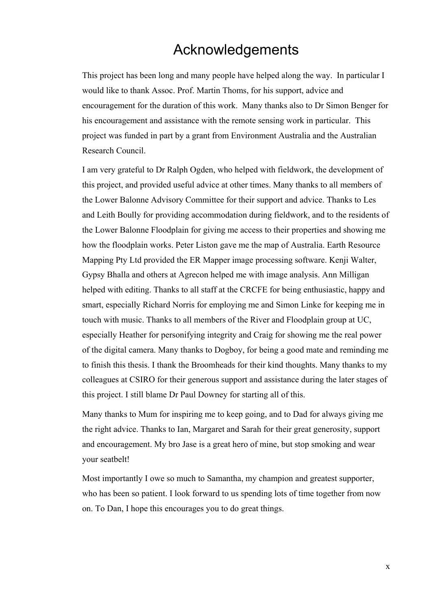## Acknowledgements

This project has been long and many people have helped along the way. In particular I would like to thank Assoc. Prof. Martin Thoms, for his support, advice and encouragement for the duration of this work. Many thanks also to Dr Simon Benger for his encouragement and assistance with the remote sensing work in particular. This project was funded in part by a grant from Environment Australia and the Australian Research Council.

I am very grateful to Dr Ralph Ogden, who helped with fieldwork, the development of this project, and provided useful advice at other times. Many thanks to all members of the Lower Balonne Advisory Committee for their support and advice. Thanks to Les and Leith Boully for providing accommodation during fieldwork, and to the residents of the Lower Balonne Floodplain for giving me access to their properties and showing me how the floodplain works. Peter Liston gave me the map of Australia. Earth Resource Mapping Pty Ltd provided the ER Mapper image processing software. Kenji Walter, Gypsy Bhalla and others at Agrecon helped me with image analysis. Ann Milligan helped with editing. Thanks to all staff at the CRCFE for being enthusiastic, happy and smart, especially Richard Norris for employing me and Simon Linke for keeping me in touch with music. Thanks to all members of the River and Floodplain group at UC, especially Heather for personifying integrity and Craig for showing me the real power of the digital camera. Many thanks to Dogboy, for being a good mate and reminding me to finish this thesis. I thank the Broomheads for their kind thoughts. Many thanks to my colleagues at CSIRO for their generous support and assistance during the later stages of this project. I still blame Dr Paul Downey for starting all of this.

Many thanks to Mum for inspiring me to keep going, and to Dad for always giving me the right advice. Thanks to Ian, Margaret and Sarah for their great generosity, support and encouragement. My bro Jase is a great hero of mine, but stop smoking and wear your seatbelt!

Most importantly I owe so much to Samantha, my champion and greatest supporter, who has been so patient. I look forward to us spending lots of time together from now on. To Dan, I hope this encourages you to do great things.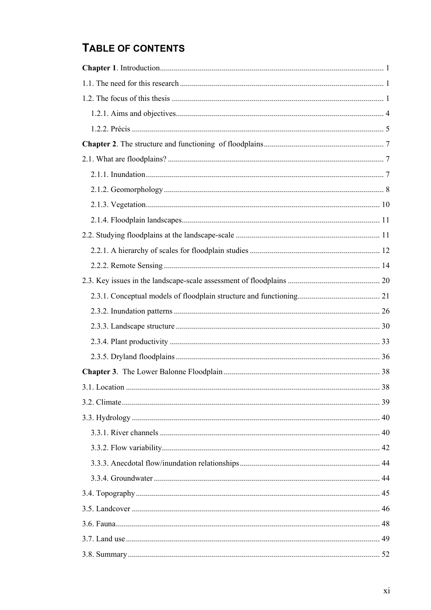## TABLE OF CONTENTS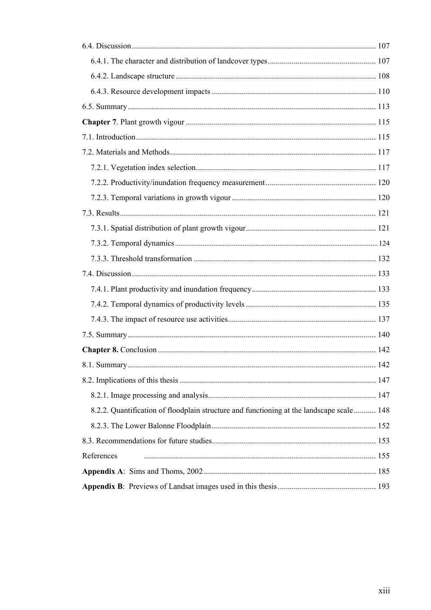| 8.2.2. Quantification of floodplain structure and functioning at the landscape scale 148 |  |
|------------------------------------------------------------------------------------------|--|
|                                                                                          |  |
|                                                                                          |  |
| References                                                                               |  |
|                                                                                          |  |
|                                                                                          |  |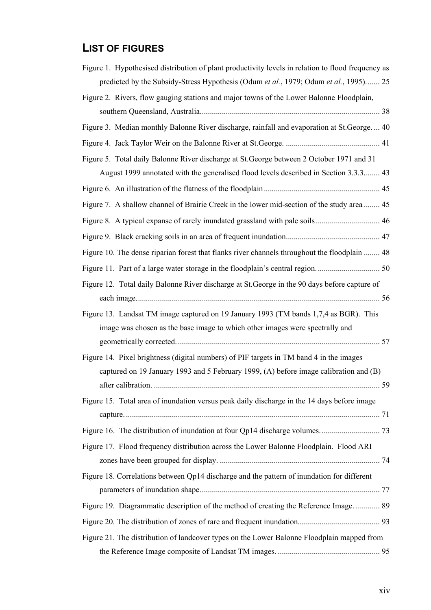## **LIST OF FIGURES**

| Figure 1. Hypothesised distribution of plant productivity levels in relation to flood frequency as |
|----------------------------------------------------------------------------------------------------|
| predicted by the Subsidy-Stress Hypothesis (Odum et al., 1979; Odum et al., 1995) 25               |
| Figure 2. Rivers, flow gauging stations and major towns of the Lower Balonne Floodplain,           |
|                                                                                                    |
| Figure 3. Median monthly Balonne River discharge, rainfall and evaporation at St. George.  40      |
|                                                                                                    |
| Figure 5. Total daily Balonne River discharge at St. George between 2 October 1971 and 31          |
| August 1999 annotated with the generalised flood levels described in Section 3.3.3 43              |
|                                                                                                    |
| Figure 7. A shallow channel of Brairie Creek in the lower mid-section of the study area  45        |
|                                                                                                    |
|                                                                                                    |
| Figure 10. The dense riparian forest that flanks river channels throughout the floodplain  48      |
|                                                                                                    |
| Figure 12. Total daily Balonne River discharge at St. George in the 90 days before capture of      |
|                                                                                                    |
| Figure 13. Landsat TM image captured on 19 January 1993 (TM bands 1,7,4 as BGR). This              |
| image was chosen as the base image to which other images were spectrally and                       |
|                                                                                                    |
| Figure 14. Pixel brightness (digital numbers) of PIF targets in TM band 4 in the images            |
| captured on 19 January 1993 and 5 February 1999, (A) before image calibration and (B)              |
| 59                                                                                                 |
| Figure 15. Total area of inundation versus peak daily discharge in the 14 days before image        |
|                                                                                                    |
|                                                                                                    |
| Figure 17. Flood frequency distribution across the Lower Balonne Floodplain. Flood ARI             |
|                                                                                                    |
| Figure 18. Correlations between Qp14 discharge and the pattern of inundation for different         |
| Figure 19. Diagrammatic description of the method of creating the Reference Image.  89             |
|                                                                                                    |
| Figure 21. The distribution of landcover types on the Lower Balonne Floodplain mapped from         |
|                                                                                                    |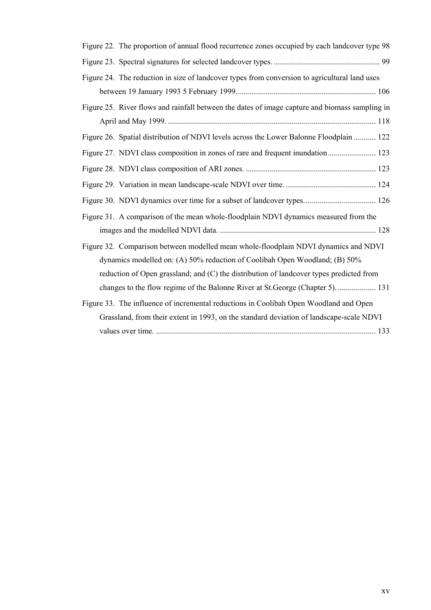| Figure 22. The proportion of annual flood recurrence zones occupied by each landcover type 98  |
|------------------------------------------------------------------------------------------------|
|                                                                                                |
| Figure 24. The reduction in size of landcover types from conversion to agricultural land uses  |
|                                                                                                |
| Figure 25. River flows and rainfall between the dates of image capture and biomass sampling in |
|                                                                                                |
| Figure 26. Spatial distribution of NDVI levels across the Lower Balonne Floodplain  122        |
| Figure 27. NDVI class composition in zones of rare and frequent inundation 123                 |
|                                                                                                |
|                                                                                                |
|                                                                                                |
| Figure 31. A comparison of the mean whole-floodplain NDVI dynamics measured from the           |
|                                                                                                |
| Figure 32. Comparison between modelled mean whole-floodplain NDVI dynamics and NDVI            |
| dynamics modelled on: (A) 50% reduction of Coolibah Open Woodland; (B) 50%                     |
| reduction of Open grassland; and (C) the distribution of landcover types predicted from        |
| changes to the flow regime of the Balonne River at St. George (Chapter 5).  131                |
| Figure 33. The influence of incremental reductions in Coolibah Open Woodland and Open          |
| Grassland, from their extent in 1993, on the standard deviation of landscape-scale NDVI        |
|                                                                                                |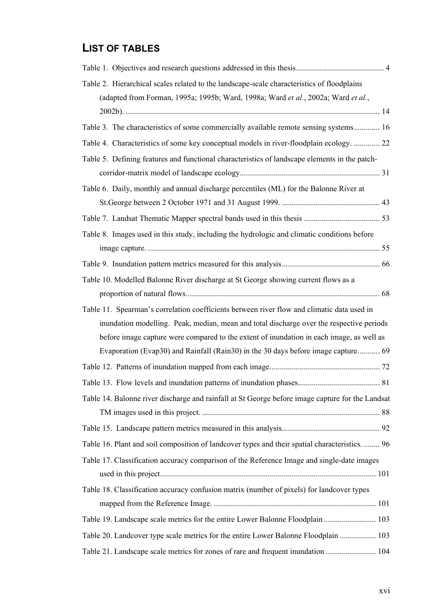## **LIST OF TABLES**

| Table 2. Hierarchical scales related to the landscape-scale characteristics of floodplains<br>(adapted from Forman, 1995a; 1995b; Ward, 1998a; Ward et al., 2002a; Ward et al., |
|---------------------------------------------------------------------------------------------------------------------------------------------------------------------------------|
|                                                                                                                                                                                 |
| Table 3. The characteristics of some commercially available remote sensing systems 16                                                                                           |
| Table 4. Characteristics of some key conceptual models in river-floodplain ecology.  22                                                                                         |
| Table 5. Defining features and functional characteristics of landscape elements in the patch-                                                                                   |
|                                                                                                                                                                                 |
| Table 6. Daily, monthly and annual discharge percentiles (ML) for the Balonne River at                                                                                          |
|                                                                                                                                                                                 |
|                                                                                                                                                                                 |
| Table 8. Images used in this study, including the hydrologic and climatic conditions before                                                                                     |
|                                                                                                                                                                                 |
|                                                                                                                                                                                 |
| Table 10. Modelled Balonne River discharge at St George showing current flows as a                                                                                              |
|                                                                                                                                                                                 |
| Table 11. Spearman's correlation coefficients between river flow and climatic data used in                                                                                      |
| inundation modelling. Peak, median, mean and total discharge over the respective periods                                                                                        |
| before image capture were compared to the extent of inundation in each image, as well as                                                                                        |
| Evaporation (Evap30) and Rainfall (Rain30) in the 30 days before image capture 69                                                                                               |
|                                                                                                                                                                                 |
|                                                                                                                                                                                 |
| Table 14. Balonne river discharge and rainfall at St George before image capture for the Landsat                                                                                |
|                                                                                                                                                                                 |
|                                                                                                                                                                                 |
| Table 16. Plant and soil composition of landcover types and their spatial characteristics.  96                                                                                  |
| Table 17. Classification accuracy comparison of the Reference Image and single-date images                                                                                      |
|                                                                                                                                                                                 |
| Table 18. Classification accuracy confusion matrix (number of pixels) for landcover types                                                                                       |
|                                                                                                                                                                                 |
| Table 19. Landscape scale metrics for the entire Lower Balonne Floodplain  103                                                                                                  |
| Table 20. Landcover type scale metrics for the entire Lower Balonne Floodplain  103                                                                                             |
| Table 21. Landscape scale metrics for zones of rare and frequent inundation  104                                                                                                |